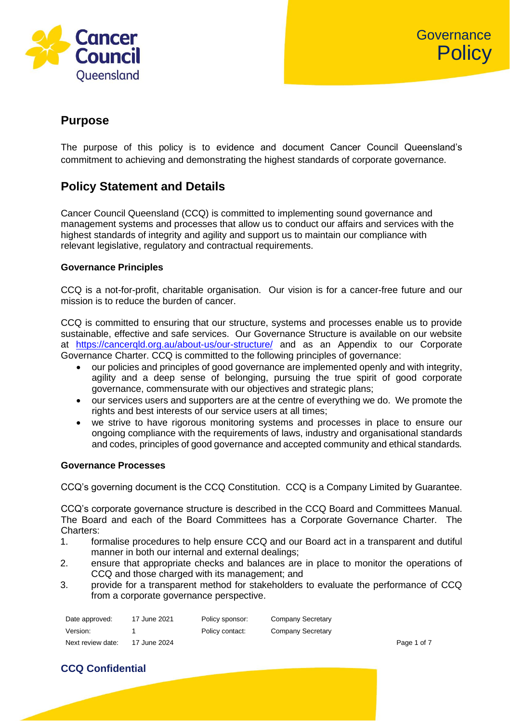

# **Purpose**

The purpose of this policy is to evidence and document Cancer Council Queensland's commitment to achieving and demonstrating the highest standards of corporate governance.

# **Policy Statement and Details**

Cancer Council Queensland (CCQ) is committed to implementing sound governance and management systems and processes that allow us to conduct our affairs and services with the highest standards of integrity and agility and support us to maintain our compliance with relevant legislative, regulatory and contractual requirements.

## **Governance Principles**

CCQ is a not-for-profit, charitable organisation. Our vision is for a cancer-free future and our mission is to reduce the burden of cancer.

CCQ is committed to ensuring that our structure, systems and processes enable us to provide sustainable, effective and safe services. Our Governance Structure is available on our website at <https://cancerqld.org.au/about-us/our-structure/> and as an Appendix to our Corporate Governance Charter. CCQ is committed to the following principles of governance:

- our policies and principles of good governance are implemented openly and with integrity, agility and a deep sense of belonging, pursuing the true spirit of good corporate governance, commensurate with our objectives and strategic plans;
- our services users and supporters are at the centre of everything we do. We promote the rights and best interests of our service users at all times;
- we strive to have rigorous monitoring systems and processes in place to ensure our ongoing compliance with the requirements of laws, industry and organisational standards and codes, principles of good governance and accepted community and ethical standards*.*

## **Governance Processes**

CCQ's governing document is the CCQ Constitution. CCQ is a Company Limited by Guarantee.

CCQ's corporate governance structure is described in the CCQ Board and Committees Manual. The Board and each of the Board Committees has a Corporate Governance Charter. The Charters:

- 1. formalise procedures to help ensure CCQ and our Board act in a transparent and dutiful manner in both our internal and external dealings;
- 2. ensure that appropriate checks and balances are in place to monitor the operations of CCQ and those charged with its management; and
- 3. provide for a transparent method for stakeholders to evaluate the performance of CCQ from a corporate governance perspective.

| Date approved:    | 17 June 2021 | Policy sponsor: | Company Secretary |             |
|-------------------|--------------|-----------------|-------------------|-------------|
| Version:          |              | Policy contact: | Company Secretary |             |
| Next review date: | 17 June 2024 |                 |                   | Page 1 of 7 |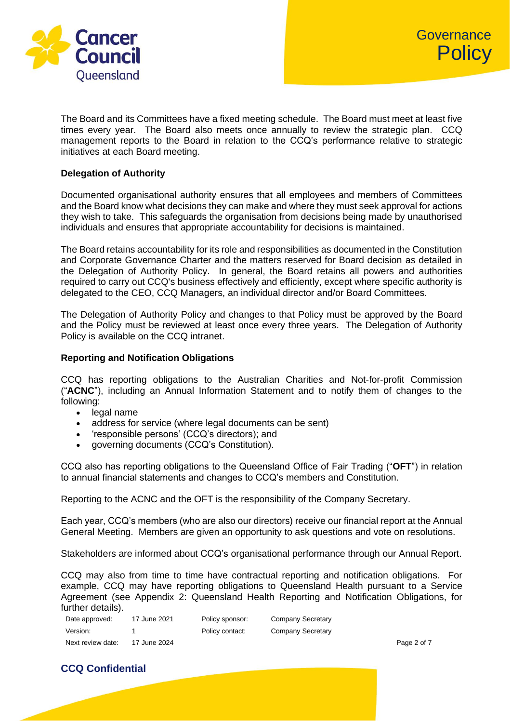

The Board and its Committees have a fixed meeting schedule. The Board must meet at least five times every year. The Board also meets once annually to review the strategic plan. CCQ management reports to the Board in relation to the CCQ's performance relative to strategic initiatives at each Board meeting.

### **Delegation of Authority**

Documented organisational authority ensures that all employees and members of Committees and the Board know what decisions they can make and where they must seek approval for actions they wish to take. This safeguards the organisation from decisions being made by unauthorised individuals and ensures that appropriate accountability for decisions is maintained.

The Board retains accountability for its role and responsibilities as documented in the Constitution and Corporate Governance Charter and the matters reserved for Board decision as detailed in the Delegation of Authority Policy. In general, the Board retains all powers and authorities required to carry out CCQ's business effectively and efficiently, except where specific authority is delegated to the CEO, CCQ Managers, an individual director and/or Board Committees.

The Delegation of Authority Policy and changes to that Policy must be approved by the Board and the Policy must be reviewed at least once every three years. The Delegation of Authority Policy is available on the CCQ intranet.

## **Reporting and Notification Obligations**

CCQ has reporting obligations to the Australian Charities and Not-for-profit Commission ("**ACNC**"), including an Annual Information Statement and to notify them of changes to the following:

- legal name
- address for service (where legal documents can be sent)
- 'responsible persons' (CCQ's directors); and
- governing documents (CCQ's Constitution).

CCQ also has reporting obligations to the Queensland Office of Fair Trading ("**OFT**") in relation to annual financial statements and changes to CCQ's members and Constitution.

Reporting to the ACNC and the OFT is the responsibility of the Company Secretary.

Each year, CCQ's members (who are also our directors) receive our financial report at the Annual General Meeting. Members are given an opportunity to ask questions and vote on resolutions.

Stakeholders are informed about CCQ's organisational performance through our Annual Report.

CCQ may also from time to time have contractual reporting and notification obligations. For example, CCQ may have reporting obligations to Queensland Health pursuant to a Service Agreement (see Appendix 2: Queensland Health Reporting and Notification Obligations, for further details).

| Date approved:    | 17 June 2021 | Policy sponsor: | Company Secretary |             |
|-------------------|--------------|-----------------|-------------------|-------------|
| Version:          |              | Policy contact: | Company Secretary |             |
| Next review date: | 17 June 2024 |                 |                   | Page 2 of 7 |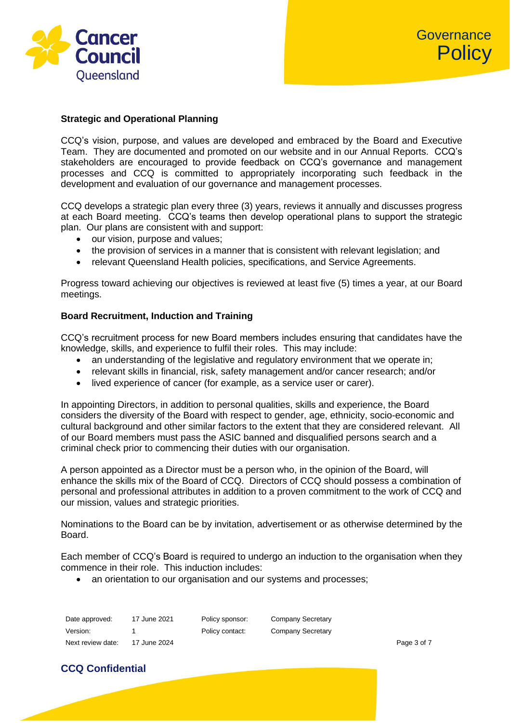

## **Strategic and Operational Planning**

CCQ's vision, purpose, and values are developed and embraced by the Board and Executive Team. They are documented and promoted on our website and in our Annual Reports. CCQ's stakeholders are encouraged to provide feedback on CCQ's governance and management processes and CCQ is committed to appropriately incorporating such feedback in the development and evaluation of our governance and management processes.

CCQ develops a strategic plan every three (3) years, reviews it annually and discusses progress at each Board meeting. CCQ's teams then develop operational plans to support the strategic plan. Our plans are consistent with and support:

- our vision, purpose and values;
- the provision of services in a manner that is consistent with relevant legislation; and
- relevant Queensland Health policies, specifications, and Service Agreements.

Progress toward achieving our objectives is reviewed at least five (5) times a year, at our Board meetings.

#### **Board Recruitment, Induction and Training**

CCQ's recruitment process for new Board members includes ensuring that candidates have the knowledge, skills, and experience to fulfil their roles. This may include:

- an understanding of the legislative and regulatory environment that we operate in;
- relevant skills in financial, risk, safety management and/or cancer research; and/or
- lived experience of cancer (for example, as a service user or carer).

In appointing Directors, in addition to personal qualities, skills and experience, the Board considers the diversity of the Board with respect to gender, age, ethnicity, socio-economic and cultural background and other similar factors to the extent that they are considered relevant. All of our Board members must pass the ASIC banned and disqualified persons search and a criminal check prior to commencing their duties with our organisation.

A person appointed as a Director must be a person who, in the opinion of the Board, will enhance the skills mix of the Board of CCQ. Directors of CCQ should possess a combination of personal and professional attributes in addition to a proven commitment to the work of CCQ and our mission, values and strategic priorities.

Nominations to the Board can be by invitation, advertisement or as otherwise determined by the Board.

Each member of CCQ's Board is required to undergo an induction to the organisation when they commence in their role. This induction includes:

• an orientation to our organisation and our systems and processes;

| Date approved:    | 17 June 2021 | Policy sponsor: | Company Secretary |             |
|-------------------|--------------|-----------------|-------------------|-------------|
| Version:          |              | Policy contact: | Company Secretary |             |
| Next review date: | 17 June 2024 |                 |                   | Page 3 of 7 |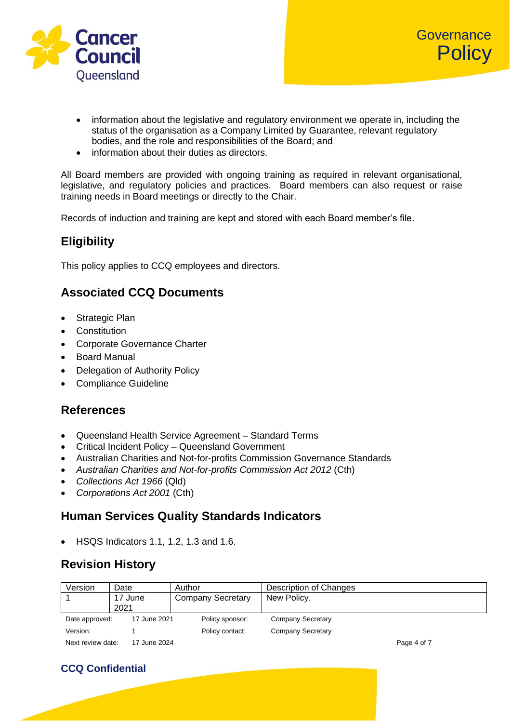

- information about the legislative and regulatory environment we operate in, including the status of the organisation as a Company Limited by Guarantee, relevant regulatory bodies, and the role and responsibilities of the Board; and
- information about their duties as directors.

All Board members are provided with ongoing training as required in relevant organisational. legislative, and regulatory policies and practices. Board members can also request or raise training needs in Board meetings or directly to the Chair.

Records of induction and training are kept and stored with each Board member's file.

# **Eligibility**

This policy applies to CCQ employees and directors.

# **Associated CCQ Documents**

- Strategic Plan
- Constitution
- Corporate Governance Charter
- Board Manual
- Delegation of Authority Policy
- Compliance Guideline

## **References**

- Queensland Health Service Agreement Standard Terms
- Critical Incident Policy Queensland Government
- [Australian Charities and Not-for-profits Commission Governance Standards](https://www.acnc.gov.au/for-charities/manage-your-charity/governance-standards)
- *Australian Charities and Not-for-profits Commission Act 2012* (Cth)
- *Collections Act 1966* (Qld)
- *Corporations Act 2001* (Cth)

# **Human Services Quality Standards Indicators**

• HSQS Indicators 1.1, 1.2, 1.3 and 1.6.

# **Revision History**

| Version           | Date         | Author                   | Description of Changes   |             |
|-------------------|--------------|--------------------------|--------------------------|-------------|
|                   | 17 June      | <b>Company Secretary</b> | New Policy.              |             |
|                   | 2021         |                          |                          |             |
| Date approved:    | 17 June 2021 | Policy sponsor:          | <b>Company Secretary</b> |             |
| Version:          |              | Policy contact:          | <b>Company Secretary</b> |             |
| Next review date: | 17 June 2024 |                          |                          | Page 4 of 7 |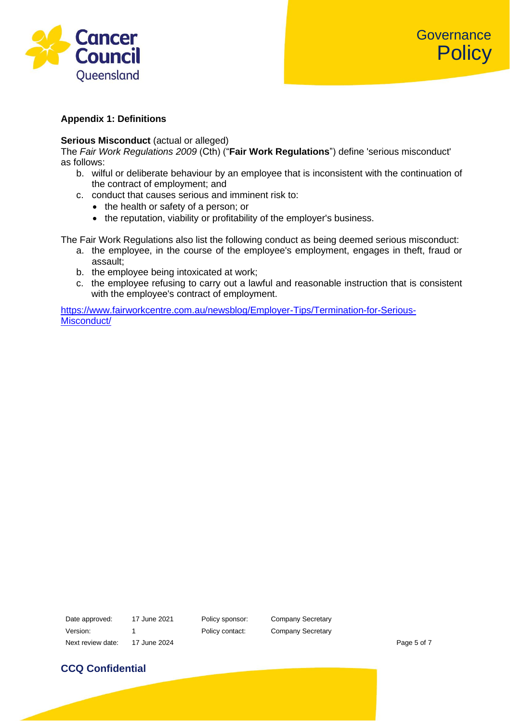

## **Appendix 1: Definitions**

### **Serious Misconduct** (actual or alleged)

The *Fair Work Regulations 2009* (Cth) ("**Fair Work Regulations**") define 'serious misconduct' as follows:

- b. wilful or deliberate behaviour by an employee that is inconsistent with the continuation of the contract of employment; and
- c. conduct that causes serious and imminent risk to:
	- the health or safety of a person; or
	- the reputation, viability or profitability of the employer's business.

The Fair Work Regulations also list the following conduct as being deemed serious misconduct:

- a. the employee, in the course of the employee's employment, engages in theft, fraud or assault;
- b. the employee being intoxicated at work;
- c. the employee refusing to carry out a lawful and reasonable instruction that is consistent with the employee's contract of employment.

[https://www.fairworkcentre.com.au/newsblog/Employer-Tips/Termination-for-Serious-](https://www.fairworkcentre.com.au/newsblog/Employer-Tips/Termination-for-Serious-Misconduct/)[Misconduct/](https://www.fairworkcentre.com.au/newsblog/Employer-Tips/Termination-for-Serious-Misconduct/)

Date approved: 17 June 2021 Policy sponsor: Company Secretary Version: 1 1 Policy contact: Company Secretary Next review date: 17 June 2024 **Page 5 of 7** All the state of 7 All the state of 7 All the state of 7 All the state of 7 All the state of 7 All the state of 7 All the state of 7 All the state of 7 All the state of 7 All th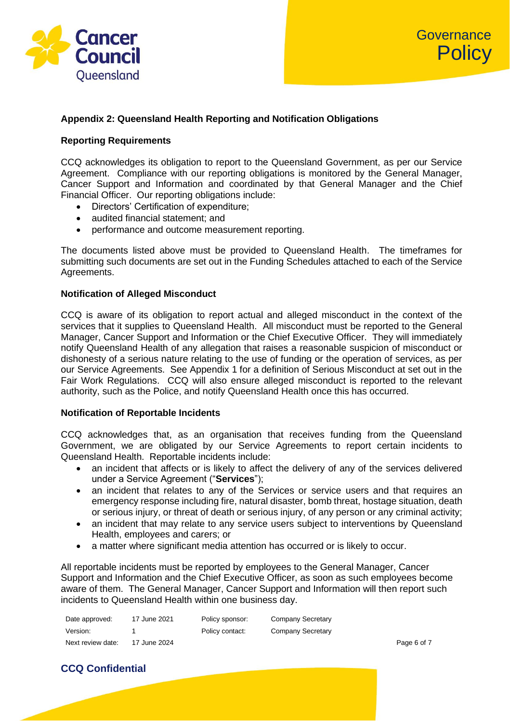

## **Appendix 2: Queensland Health Reporting and Notification Obligations**

## **Reporting Requirements**

CCQ acknowledges its obligation to report to the Queensland Government, as per our Service Agreement. Compliance with our reporting obligations is monitored by the General Manager, Cancer Support and Information and coordinated by that General Manager and the Chief Financial Officer. Our reporting obligations include:

- Directors' Certification of expenditure;
- audited financial statement; and
- performance and outcome measurement reporting.

The documents listed above must be provided to Queensland Health. The timeframes for submitting such documents are set out in the Funding Schedules attached to each of the Service Agreements.

### **Notification of Alleged Misconduct**

CCQ is aware of its obligation to report actual and alleged misconduct in the context of the services that it supplies to Queensland Health. All misconduct must be reported to the General Manager, Cancer Support and Information or the Chief Executive Officer. They will immediately notify Queensland Health of any allegation that raises a reasonable suspicion of misconduct or dishonesty of a serious nature relating to the use of funding or the operation of services, as per our Service Agreements. See Appendix 1 for a definition of Serious Misconduct at set out in the Fair Work Regulations. CCQ will also ensure alleged misconduct is reported to the relevant authority, such as the Police, and notify Queensland Health once this has occurred.

#### **Notification of Reportable Incidents**

CCQ acknowledges that, as an organisation that receives funding from the Queensland Government, we are obligated by our Service Agreements to report certain incidents to Queensland Health. Reportable incidents include:

- an incident that affects or is likely to affect the delivery of any of the services delivered under a Service Agreement ("**Services**");
- an incident that relates to any of the Services or service users and that requires an emergency response including fire, natural disaster, bomb threat, hostage situation, death or serious injury, or threat of death or serious injury, of any person or any criminal activity;
- an incident that may relate to any service users subject to interventions by Queensland Health, employees and carers; or
- a matter where significant media attention has occurred or is likely to occur.

All reportable incidents must be reported by employees to the General Manager, Cancer Support and Information and the Chief Executive Officer, as soon as such employees become aware of them. The General Manager, Cancer Support and Information will then report such incidents to Queensland Health within one business day.

| Date approved:    | 17 June 2021 | Policy sponsor: | Company Secretary |             |
|-------------------|--------------|-----------------|-------------------|-------------|
| Version:          |              | Policy contact: | Company Secretary |             |
| Next review date: | 17 June 2024 |                 |                   | Page 6 of 7 |